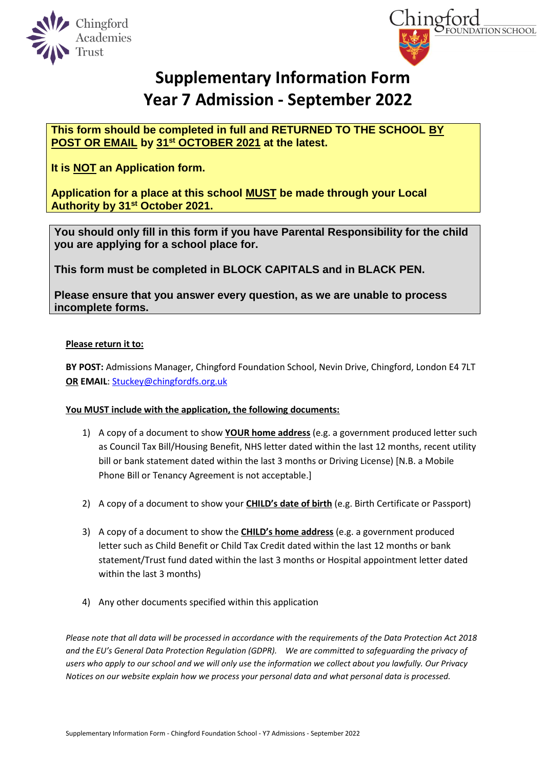



# **Supplementary Information Form Year 7 Admission - September 2022**

**This form should be completed in full and RETURNED TO THE SCHOOL BY POST OR EMAIL by 31st OCTOBER 2021 at the latest.**

**It is NOT an Application form.**

**Application for a place at this school MUST be made through your Local Authority by 31st October 2021.**

**You should only fill in this form if you have Parental Responsibility for the child you are applying for a school place for.**

**This form must be completed in BLOCK CAPITALS and in BLACK PEN.**

**Please ensure that you answer every question, as we are unable to process incomplete forms.**

### **Please return it to:**

**BY POST:** Admissions Manager, Chingford Foundation School, Nevin Drive, Chingford, London E4 7LT **OR EMAIL**: [Stuckey@chingfordfs.org.uk](mailto:Stuckey@chingfordfs.org.uk)

### **You MUST include with the application, the following documents:**

- 1) A copy of a document to show **YOUR home address** (e.g. a government produced letter such as Council Tax Bill/Housing Benefit, NHS letter dated within the last 12 months, recent utility bill or bank statement dated within the last 3 months or Driving License) [N.B. a Mobile Phone Bill or Tenancy Agreement is not acceptable.]
- 2) A copy of a document to show your **CHILD's date of birth** (e.g. Birth Certificate or Passport)
- 3) A copy of a document to show the **CHILD's home address** (e.g. a government produced letter such as Child Benefit or Child Tax Credit dated within the last 12 months or bank statement/Trust fund dated within the last 3 months or Hospital appointment letter dated within the last 3 months)
- 4) Any other documents specified within this application

*Please note that all data will be processed in accordance with the requirements of the Data Protection Act 2018 and the EU's General Data Protection Regulation (GDPR). We are committed to safeguarding the privacy of users who apply to our school and we will only use the information we collect about you lawfully. Our Privacy Notices on our website explain how we process your personal data and what personal data is processed.*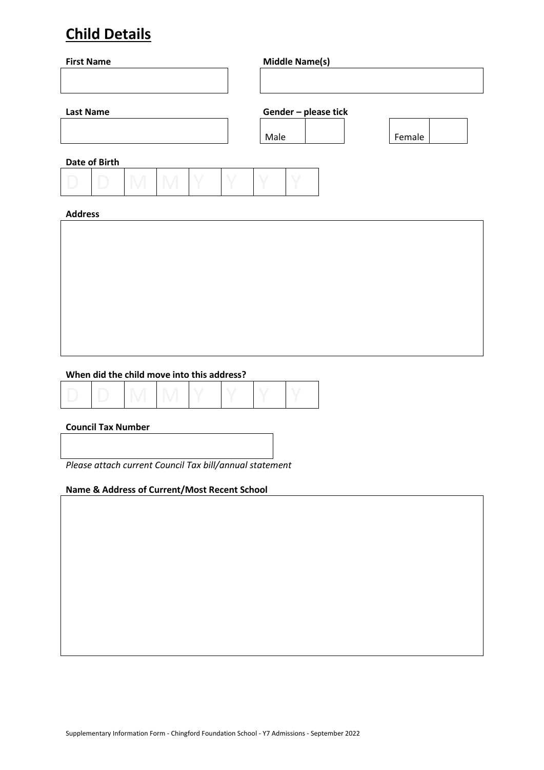## **Child Details**

| <b>First Name</b> |               |  |  |      | <b>Middle Name(s)</b> |  |        |  |
|-------------------|---------------|--|--|------|-----------------------|--|--------|--|
|                   |               |  |  |      |                       |  |        |  |
| <b>Last Name</b>  |               |  |  |      | Gender - please tick  |  |        |  |
|                   |               |  |  | Male |                       |  | Female |  |
|                   | Date of Birth |  |  |      |                       |  |        |  |
|                   |               |  |  |      |                       |  |        |  |
| <b>Address</b>    |               |  |  |      |                       |  |        |  |
|                   |               |  |  |      |                       |  |        |  |
|                   |               |  |  |      |                       |  |        |  |
|                   |               |  |  |      |                       |  |        |  |

### **When did the child move into this address?**

|--|--|

### **Council Tax Number**

*Please attach current Council Tax bill/annual statement*

### **Name & Address of Current/Most Recent School**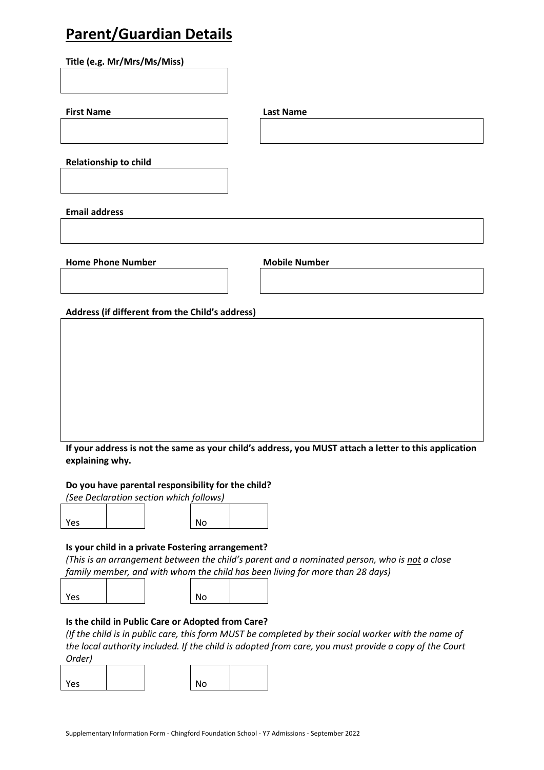### **Parent/Guardian Details**

**Title (e.g. Mr/Mrs/Ms/Miss)**

**First Name Last Name**

**Relationship to child**

**Email address**

**Home Phone Number Mobile Number** 

**Address (if different from the Child's address)**

**If your address is not the same as your child's address, you MUST attach a letter to this application explaining why.**

**Do you have parental responsibility for the child?** 

*(See Declaration section which follows)*

| Yes |  | No |  |
|-----|--|----|--|
|     |  |    |  |

### **Is your child in a private Fostering arrangement?**

*(This is an arrangement between the child's parent and a nominated person, who is not a close family member, and with whom the child has been living for more than 28 days)*

| Yes |  | No |  |
|-----|--|----|--|
|     |  |    |  |

### **Is the child in Public Care or Adopted from Care?**

*(If the child is in public care, this form MUST be completed by their social worker with the name of the local authority included. If the child is adopted from care, you must provide a copy of the Court Order)*  $\overline{a}$  $\overline{\phantom{0}}$ 

| 'es |  | No |  |
|-----|--|----|--|